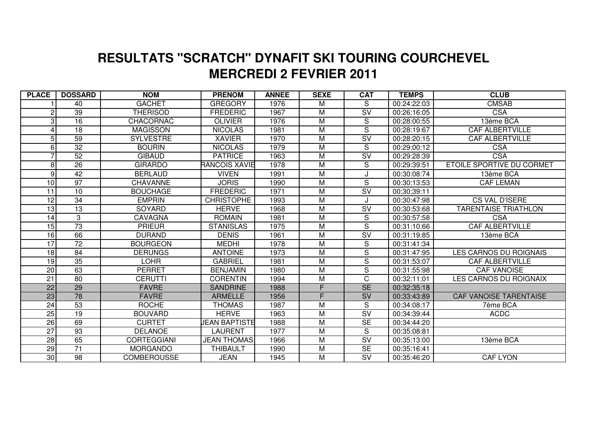## **MERCREDI 2 FEVRIER 2011 RESULTATS "SCRATCH" DYNAFIT SKI TOURING COURCHEVEL**

| <b>PLACE</b>    | <b>DOSSARD</b>  | <b>NOM</b>         | <b>PRENOM</b>        | <b>ANNEE</b> | <b>SEXE</b>             | <b>CAT</b>               | <b>TEMPS</b> | <b>CLUB</b>                      |
|-----------------|-----------------|--------------------|----------------------|--------------|-------------------------|--------------------------|--------------|----------------------------------|
|                 | 40              | <b>GACHET</b>      | <b>GREGORY</b>       | 1976         | M                       | S                        | 00:24:22:03  | <b>CMSAB</b>                     |
| $\overline{c}$  | 39              | <b>THERISOD</b>    | <b>FREDERIC</b>      | 1967         | M                       | $\overline{\mathsf{SV}}$ | 00:26:16:05  | <b>CSA</b>                       |
| 3               | 16              | <b>CHACORNAC</b>   | <b>OLIVIER</b>       | 1976         | M                       | S                        | 00:28:00:55  | 13ème BCA                        |
| 4               | 18              | <b>MAGISSON</b>    | <b>NICOLAS</b>       | 1981         | $\overline{M}$          | S                        | 00:28:19:67  | <b>CAF ALBERTVILLE</b>           |
| 5               | 59              | <b>SYLVESTRE</b>   | <b>XAVIER</b>        | 1970         | M                       | $\overline{\mathsf{SV}}$ | 00:28:20:15  | <b>CAF ALBERTVILLE</b>           |
| 6               | $\overline{32}$ | <b>BOURIN</b>      | <b>NICOLAS</b>       | 1979         | M                       | S                        | 00:29:00:12  | <b>CSA</b>                       |
| 7               | 52              | <b>GIBAUD</b>      | <b>PATRICE</b>       | 1963         | M                       | $\overline{\mathsf{SV}}$ | 00:29:28:39  | <b>CSA</b>                       |
| 8               | 26              | <b>GIRARDO</b>     | <b>RANCOIS XAVIE</b> | 1978         | $\overline{M}$          | S                        | 00:29:39:51  | <b>ETOILE SPORTIVE DU CORMET</b> |
| 9               | 42              | <b>BERLAUD</b>     | <b>VIVEN</b>         | 1991         | $\overline{M}$          |                          | 00:30:08:74  | 13ème BCA                        |
| 10              | $\overline{97}$ | <b>CHAVANNE</b>    | <b>JORIS</b>         | 1990         | M                       | $\overline{S}$           | 00:30:13:53  | <b>CAF LEMAN</b>                 |
| $\overline{11}$ | $\overline{10}$ | <b>BOUCHAGE</b>    | <b>FREDERIC</b>      | 1971         | $\overline{M}$          | $\overline{\mathsf{sv}}$ | 00:30:39:11  |                                  |
| 12              | 34              | <b>EMPRIN</b>      | <b>CHRISTOPHE</b>    | 1993         | M                       | J                        | 00:30:47:98  | <b>CS VAL D'ISERE</b>            |
| $\overline{13}$ | 13              | <b>SOYARD</b>      | <b>HERVE</b>         | 1968         | M                       | $\overline{\mathsf{SV}}$ | 00:30:53:68  | <b>TARENTAISE TRIATHLON</b>      |
| 14              | 3               | <b>CAVAGNA</b>     | <b>ROMAIN</b>        | 1981         | M                       | S                        | 00:30:57:58  | <b>CSA</b>                       |
| 15              | $\overline{73}$ | <b>PRIEUR</b>      | <b>STANISLAS</b>     | 1975         | M                       | $\overline{S}$           | 00:31:10:66  | <b>CAF ALBERTVILLE</b>           |
| 16              | 66              | <b>DURAND</b>      | <b>DENIS</b>         | 1961         | M                       | $\overline{\mathsf{SV}}$ | 00:31:19:85  | 13ème BCA                        |
| 17              | 72              | <b>BOURGEON</b>    | <b>MEDHI</b>         | 1978         | M                       | ${\mathsf S}$            | 00:31:41:34  |                                  |
| 18              | 84              | <b>DERUNGS</b>     | <b>ANTOINE</b>       | 1973         | $\overline{M}$          | $\overline{S}$           | 00:31:47:95  | <b>LES CARNOS DU ROIGNAIS</b>    |
| 19              | 35              | <b>LOHR</b>        | <b>GABRIEL</b>       | 1981         | $\overline{\mathsf{M}}$ | $\overline{\mathsf{s}}$  | 00:31:53:07  | CAF ALBERTVILLE                  |
| 20              | 63              | <b>PERRET</b>      | <b>BENJAMIN</b>      | 1980         | $\overline{\mathsf{M}}$ | $\overline{\mathsf{s}}$  | 00:31:55:98  | <b>CAF VANOISE</b>               |
| $\overline{21}$ | $\overline{80}$ | <b>CERUTTI</b>     | <b>CORENTIN</b>      | 1994         | M                       | $\overline{\text{c}}$    | 00:32:11:01  | <b>LES CARNOS DU ROIGNAIX</b>    |
| $\overline{22}$ | 29              | <b>FAVRE</b>       | <b>SANDRINE</b>      | 1988         | F.                      | <b>SE</b>                | 00:32:35:18  |                                  |
| 23              | 78              | <b>FAVRE</b>       | <b>ARMELLE</b>       | 1956         | F.                      | SV                       | 00:33:43:89  | <b>CAF VANOISE TARENTAISE</b>    |
| $\overline{24}$ | 53              | <b>ROCHE</b>       | <b>THOMAS</b>        | 1987         | M                       | S                        | 00:34:08:17  | 7ème BCA                         |
| $\overline{25}$ | $\overline{19}$ | <b>BOUVARD</b>     | <b>HERVE</b>         | 1963         | M                       | $\overline{\mathsf{SV}}$ | 00:34:39:44  | <b>ACDC</b>                      |
| 26              | 69              | <b>CURTET</b>      | <b>JEAN BAPTISTE</b> | 1988         | M                       | $\overline{\text{SE}}$   | 00:34:44:20  |                                  |
| $\overline{27}$ | 93              | <b>DELANOE</b>     | LAURENT              | 1977         | $\overline{M}$          | S                        | 00:35:08:81  |                                  |
| 28              | 65              | <b>CORTEGGIANI</b> | <b>JEAN THOMAS</b>   | 1966         | $\overline{M}$          | $\overline{\mathsf{sv}}$ | 00:35:13:00  | 13ème BCA                        |
| 29              | $\overline{71}$ | <b>MORGANDO</b>    | THIBAULT             | 1990         | M                       | $\overline{\text{SE}}$   | 00:35:16:41  |                                  |
| 30              | 98              | <b>COMBEROUSSE</b> | <b>JEAN</b>          | 1945         | M                       | $\overline{\mathsf{SV}}$ | 00:35:46:20  | <b>CAF LYON</b>                  |